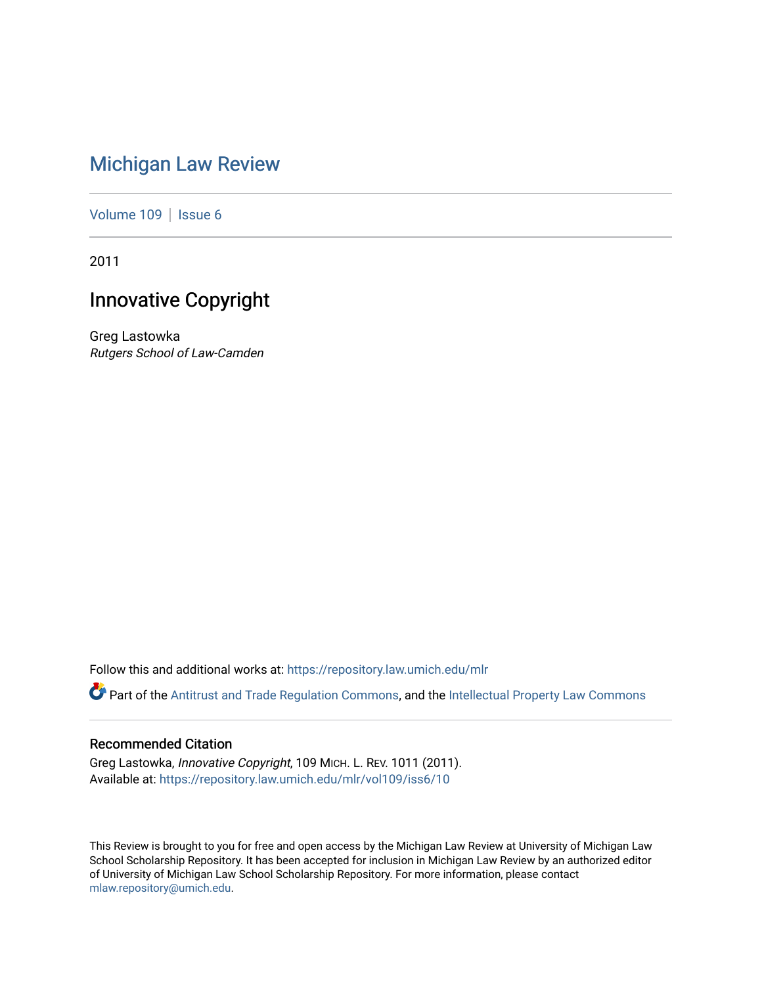# [Michigan Law Review](https://repository.law.umich.edu/mlr)

[Volume 109](https://repository.law.umich.edu/mlr/vol109) | [Issue 6](https://repository.law.umich.edu/mlr/vol109/iss6)

2011

# Innovative Copyright

Greg Lastowka Rutgers School of Law-Camden

Follow this and additional works at: [https://repository.law.umich.edu/mlr](https://repository.law.umich.edu/mlr?utm_source=repository.law.umich.edu%2Fmlr%2Fvol109%2Fiss6%2F10&utm_medium=PDF&utm_campaign=PDFCoverPages) 

Part of the [Antitrust and Trade Regulation Commons,](http://network.bepress.com/hgg/discipline/911?utm_source=repository.law.umich.edu%2Fmlr%2Fvol109%2Fiss6%2F10&utm_medium=PDF&utm_campaign=PDFCoverPages) and the [Intellectual Property Law Commons](http://network.bepress.com/hgg/discipline/896?utm_source=repository.law.umich.edu%2Fmlr%2Fvol109%2Fiss6%2F10&utm_medium=PDF&utm_campaign=PDFCoverPages)

# Recommended Citation

Greg Lastowka, Innovative Copyright, 109 MICH. L. REV. 1011 (2011). Available at: [https://repository.law.umich.edu/mlr/vol109/iss6/10](https://repository.law.umich.edu/mlr/vol109/iss6/10?utm_source=repository.law.umich.edu%2Fmlr%2Fvol109%2Fiss6%2F10&utm_medium=PDF&utm_campaign=PDFCoverPages) 

This Review is brought to you for free and open access by the Michigan Law Review at University of Michigan Law School Scholarship Repository. It has been accepted for inclusion in Michigan Law Review by an authorized editor of University of Michigan Law School Scholarship Repository. For more information, please contact [mlaw.repository@umich.edu.](mailto:mlaw.repository@umich.edu)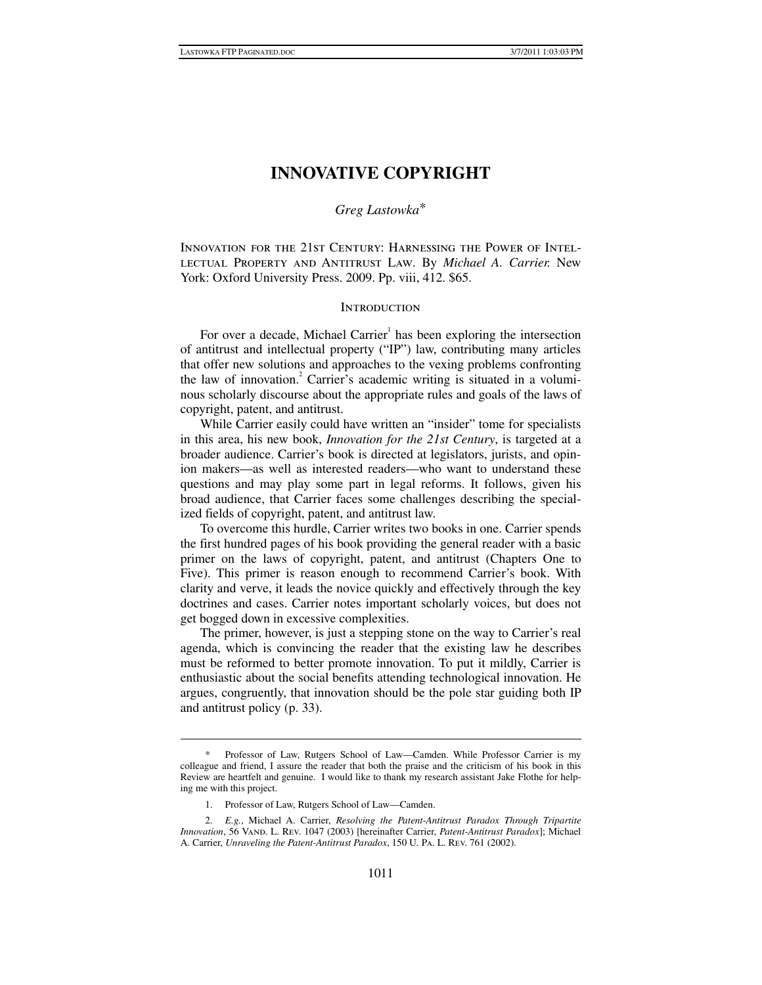# **INNOVATIVE COPYRIGHT**

# *Greg Lastowka*\*

Innovation for the 21st Century: Harnessing the Power of Intellectual Property and Antitrust Law. By *Michael A. Carrier.* New York: Oxford University Press. 2009. Pp. viii, 412. \$65.

# **INTRODUCTION**

For over a decade, Michael Carrier<sup>1</sup> has been exploring the intersection of antitrust and intellectual property ("IP") law, contributing many articles that offer new solutions and approaches to the vexing problems confronting the law of innovation.<sup>2</sup> Carrier's academic writing is situated in a voluminous scholarly discourse about the appropriate rules and goals of the laws of copyright, patent, and antitrust.

While Carrier easily could have written an "insider" tome for specialists in this area, his new book, *Innovation for the 21st Century*, is targeted at a broader audience. Carrier's book is directed at legislators, jurists, and opinion makers—as well as interested readers—who want to understand these questions and may play some part in legal reforms. It follows, given his broad audience, that Carrier faces some challenges describing the specialized fields of copyright, patent, and antitrust law.

To overcome this hurdle, Carrier writes two books in one. Carrier spends the first hundred pages of his book providing the general reader with a basic primer on the laws of copyright, patent, and antitrust (Chapters One to Five). This primer is reason enough to recommend Carrier's book. With clarity and verve, it leads the novice quickly and effectively through the key doctrines and cases. Carrier notes important scholarly voices, but does not get bogged down in excessive complexities.

The primer, however, is just a stepping stone on the way to Carrier's real agenda, which is convincing the reader that the existing law he describes must be reformed to better promote innovation. To put it mildly, Carrier is enthusiastic about the social benefits attending technological innovation. He argues, congruently, that innovation should be the pole star guiding both IP and antitrust policy (p. 33).

Professor of Law, Rutgers School of Law—Camden. While Professor Carrier is my colleague and friend, I assure the reader that both the praise and the criticism of his book in this Review are heartfelt and genuine. I would like to thank my research assistant Jake Flothe for helping me with this project.

 <sup>1.</sup> Professor of Law, Rutgers School of Law—Camden.

 <sup>2.</sup> *E.g.*, Michael A. Carrier, *Resolving the Patent-Antitrust Paradox Through Tripartite Innovation*, 56 VAND. L. REV. 1047 (2003) [hereinafter Carrier, *Patent-Antitrust Paradox*]; Michael A. Carrier, *Unraveling the Patent-Antitrust Paradox*, 150 U. Pa. L. Rev. 761 (2002).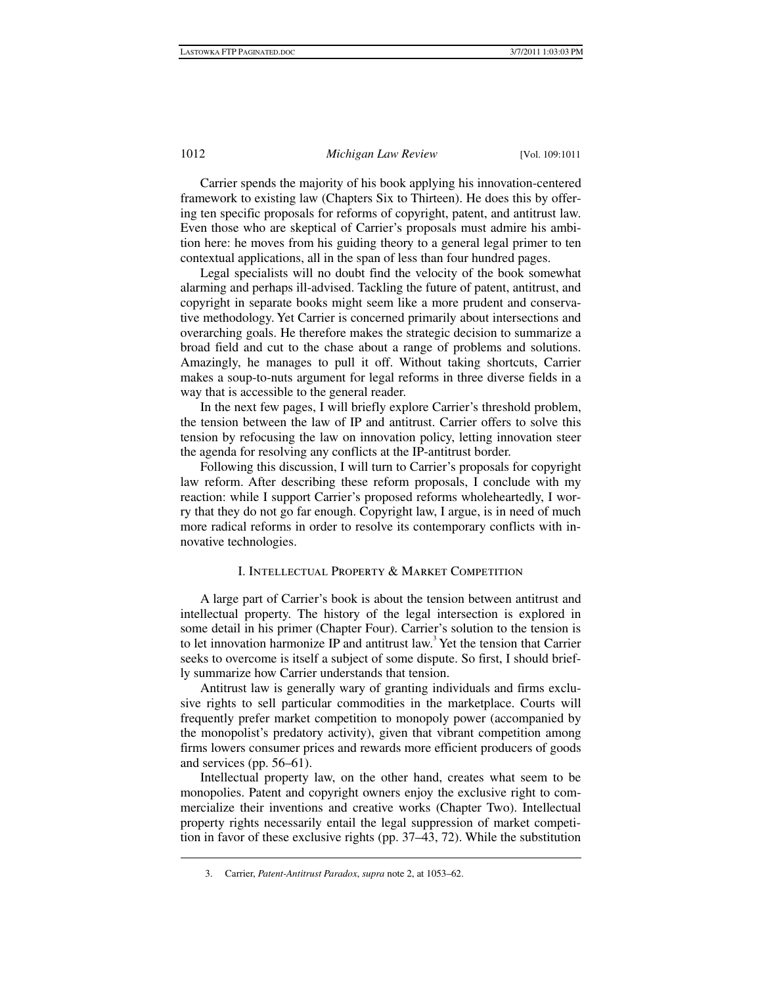Carrier spends the majority of his book applying his innovation-centered framework to existing law (Chapters Six to Thirteen). He does this by offering ten specific proposals for reforms of copyright, patent, and antitrust law. Even those who are skeptical of Carrier's proposals must admire his ambition here: he moves from his guiding theory to a general legal primer to ten contextual applications, all in the span of less than four hundred pages.

Legal specialists will no doubt find the velocity of the book somewhat alarming and perhaps ill-advised. Tackling the future of patent, antitrust, and copyright in separate books might seem like a more prudent and conservative methodology. Yet Carrier is concerned primarily about intersections and overarching goals. He therefore makes the strategic decision to summarize a broad field and cut to the chase about a range of problems and solutions. Amazingly, he manages to pull it off. Without taking shortcuts, Carrier makes a soup-to-nuts argument for legal reforms in three diverse fields in a way that is accessible to the general reader.

In the next few pages, I will briefly explore Carrier's threshold problem, the tension between the law of IP and antitrust. Carrier offers to solve this tension by refocusing the law on innovation policy, letting innovation steer the agenda for resolving any conflicts at the IP-antitrust border.

Following this discussion, I will turn to Carrier's proposals for copyright law reform. After describing these reform proposals, I conclude with my reaction: while I support Carrier's proposed reforms wholeheartedly, I worry that they do not go far enough. Copyright law, I argue, is in need of much more radical reforms in order to resolve its contemporary conflicts with innovative technologies.

### I. Intellectual Property & Market Competition

A large part of Carrier's book is about the tension between antitrust and intellectual property. The history of the legal intersection is explored in some detail in his primer (Chapter Four). Carrier's solution to the tension is to let innovation harmonize IP and antitrust law.<sup>3</sup> Yet the tension that Carrier seeks to overcome is itself a subject of some dispute. So first, I should briefly summarize how Carrier understands that tension.

Antitrust law is generally wary of granting individuals and firms exclusive rights to sell particular commodities in the marketplace. Courts will frequently prefer market competition to monopoly power (accompanied by the monopolist's predatory activity), given that vibrant competition among firms lowers consumer prices and rewards more efficient producers of goods and services (pp. 56–61).

Intellectual property law, on the other hand, creates what seem to be monopolies. Patent and copyright owners enjoy the exclusive right to commercialize their inventions and creative works (Chapter Two). Intellectual property rights necessarily entail the legal suppression of market competition in favor of these exclusive rights (pp. 37–43, 72). While the substitution

 <sup>3.</sup> Carrier, *Patent-Antitrust Paradox*, *supra* note 2, at 1053–62.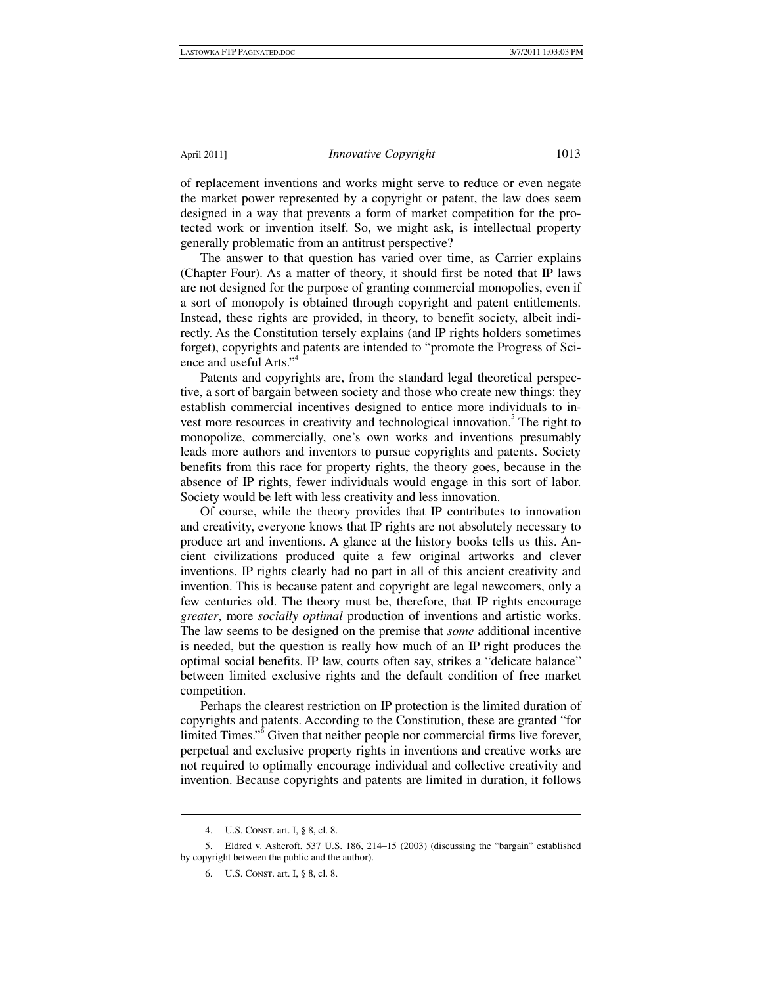of replacement inventions and works might serve to reduce or even negate the market power represented by a copyright or patent, the law does seem designed in a way that prevents a form of market competition for the protected work or invention itself. So, we might ask, is intellectual property generally problematic from an antitrust perspective?

The answer to that question has varied over time, as Carrier explains (Chapter Four). As a matter of theory, it should first be noted that IP laws are not designed for the purpose of granting commercial monopolies, even if a sort of monopoly is obtained through copyright and patent entitlements. Instead, these rights are provided, in theory, to benefit society, albeit indirectly. As the Constitution tersely explains (and IP rights holders sometimes forget), copyrights and patents are intended to "promote the Progress of Science and useful Arts."4

Patents and copyrights are, from the standard legal theoretical perspective, a sort of bargain between society and those who create new things: they establish commercial incentives designed to entice more individuals to invest more resources in creativity and technological innovation.<sup>5</sup> The right to monopolize, commercially, one's own works and inventions presumably leads more authors and inventors to pursue copyrights and patents. Society benefits from this race for property rights, the theory goes, because in the absence of IP rights, fewer individuals would engage in this sort of labor. Society would be left with less creativity and less innovation.

Of course, while the theory provides that IP contributes to innovation and creativity, everyone knows that IP rights are not absolutely necessary to produce art and inventions. A glance at the history books tells us this. Ancient civilizations produced quite a few original artworks and clever inventions. IP rights clearly had no part in all of this ancient creativity and invention. This is because patent and copyright are legal newcomers, only a few centuries old. The theory must be, therefore, that IP rights encourage *greater*, more *socially optimal* production of inventions and artistic works. The law seems to be designed on the premise that *some* additional incentive is needed, but the question is really how much of an IP right produces the optimal social benefits. IP law, courts often say, strikes a "delicate balance" between limited exclusive rights and the default condition of free market competition.

Perhaps the clearest restriction on IP protection is the limited duration of copyrights and patents. According to the Constitution, these are granted "for limited Times."<sup>6</sup> Given that neither people nor commercial firms live forever, perpetual and exclusive property rights in inventions and creative works are not required to optimally encourage individual and collective creativity and invention. Because copyrights and patents are limited in duration, it follows

 <sup>4.</sup> U.S. Const. art. I, § 8, cl. 8.

 <sup>5.</sup> Eldred v. Ashcroft, 537 U.S. 186, 214–15 (2003) (discussing the "bargain" established by copyright between the public and the author).

 <sup>6.</sup> U.S. Const. art. I, § 8, cl. 8.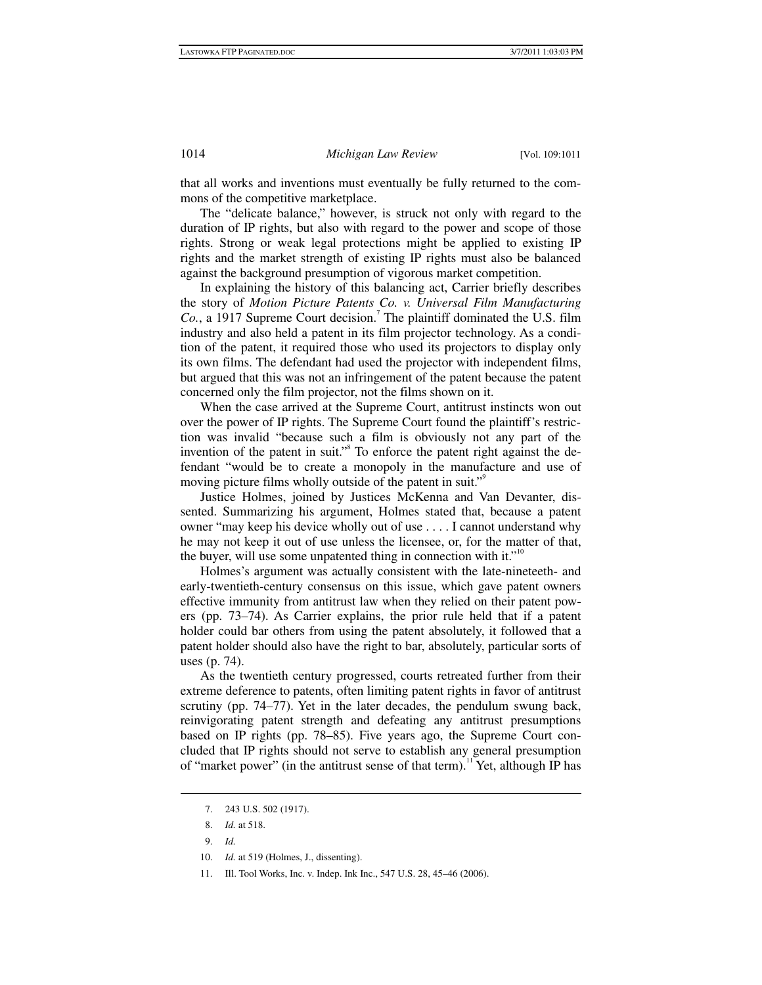that all works and inventions must eventually be fully returned to the commons of the competitive marketplace.

The "delicate balance," however, is struck not only with regard to the duration of IP rights, but also with regard to the power and scope of those rights. Strong or weak legal protections might be applied to existing IP rights and the market strength of existing IP rights must also be balanced against the background presumption of vigorous market competition.

In explaining the history of this balancing act, Carrier briefly describes the story of *Motion Picture Patents Co. v. Universal Film Manufacturing*  Co., a 1917 Supreme Court decision.<sup>7</sup> The plaintiff dominated the U.S. film industry and also held a patent in its film projector technology. As a condition of the patent, it required those who used its projectors to display only its own films. The defendant had used the projector with independent films, but argued that this was not an infringement of the patent because the patent concerned only the film projector, not the films shown on it.

When the case arrived at the Supreme Court, antitrust instincts won out over the power of IP rights. The Supreme Court found the plaintiff's restriction was invalid "because such a film is obviously not any part of the invention of the patent in suit."<sup>8</sup> To enforce the patent right against the defendant "would be to create a monopoly in the manufacture and use of moving picture films wholly outside of the patent in suit."<sup>9</sup>

Justice Holmes, joined by Justices McKenna and Van Devanter, dissented. Summarizing his argument, Holmes stated that, because a patent owner "may keep his device wholly out of use . . . . I cannot understand why he may not keep it out of use unless the licensee, or, for the matter of that, the buyer, will use some unpatented thing in connection with it."<sup>10</sup>

Holmes's argument was actually consistent with the late-nineteeth- and early-twentieth-century consensus on this issue, which gave patent owners effective immunity from antitrust law when they relied on their patent powers (pp. 73–74). As Carrier explains, the prior rule held that if a patent holder could bar others from using the patent absolutely, it followed that a patent holder should also have the right to bar, absolutely, particular sorts of uses (p. 74).

As the twentieth century progressed, courts retreated further from their extreme deference to patents, often limiting patent rights in favor of antitrust scrutiny (pp. 74–77). Yet in the later decades, the pendulum swung back, reinvigorating patent strength and defeating any antitrust presumptions based on IP rights (pp. 78–85). Five years ago, the Supreme Court concluded that IP rights should not serve to establish any general presumption of "market power" (in the antitrust sense of that term).<sup>11</sup> Yet, although IP has

 <sup>7. 243</sup> U.S. 502 (1917).

 <sup>8.</sup> *Id.* at 518.

 <sup>9.</sup> *Id.*

 <sup>10.</sup> *Id.* at 519 (Holmes, J., dissenting).

 <sup>11.</sup> Ill. Tool Works, Inc. v. Indep. Ink Inc., 547 U.S. 28, 45–46 (2006).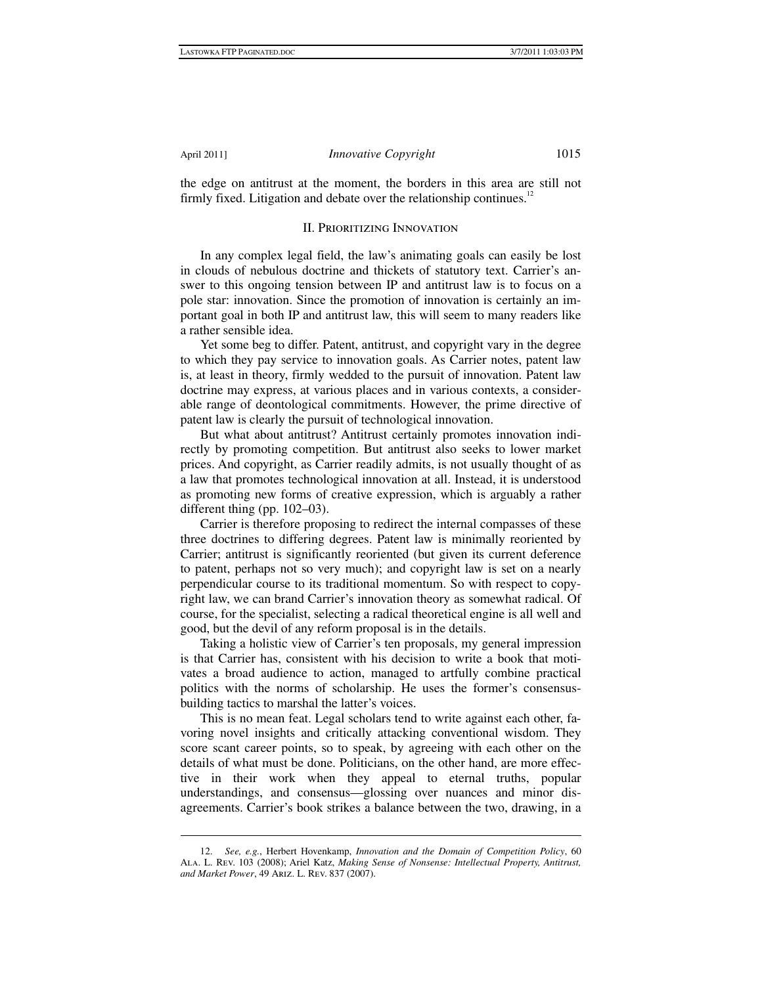1

the edge on antitrust at the moment, the borders in this area are still not firmly fixed. Litigation and debate over the relationship continues.<sup>12</sup>

#### II. Prioritizing Innovation

In any complex legal field, the law's animating goals can easily be lost in clouds of nebulous doctrine and thickets of statutory text. Carrier's answer to this ongoing tension between IP and antitrust law is to focus on a pole star: innovation. Since the promotion of innovation is certainly an important goal in both IP and antitrust law, this will seem to many readers like a rather sensible idea.

Yet some beg to differ. Patent, antitrust, and copyright vary in the degree to which they pay service to innovation goals. As Carrier notes, patent law is, at least in theory, firmly wedded to the pursuit of innovation. Patent law doctrine may express, at various places and in various contexts, a considerable range of deontological commitments. However, the prime directive of patent law is clearly the pursuit of technological innovation.

But what about antitrust? Antitrust certainly promotes innovation indirectly by promoting competition. But antitrust also seeks to lower market prices. And copyright, as Carrier readily admits, is not usually thought of as a law that promotes technological innovation at all. Instead, it is understood as promoting new forms of creative expression, which is arguably a rather different thing (pp. 102–03).

Carrier is therefore proposing to redirect the internal compasses of these three doctrines to differing degrees. Patent law is minimally reoriented by Carrier; antitrust is significantly reoriented (but given its current deference to patent, perhaps not so very much); and copyright law is set on a nearly perpendicular course to its traditional momentum. So with respect to copyright law, we can brand Carrier's innovation theory as somewhat radical. Of course, for the specialist, selecting a radical theoretical engine is all well and good, but the devil of any reform proposal is in the details.

Taking a holistic view of Carrier's ten proposals, my general impression is that Carrier has, consistent with his decision to write a book that motivates a broad audience to action, managed to artfully combine practical politics with the norms of scholarship. He uses the former's consensusbuilding tactics to marshal the latter's voices.

This is no mean feat. Legal scholars tend to write against each other, favoring novel insights and critically attacking conventional wisdom. They score scant career points, so to speak, by agreeing with each other on the details of what must be done. Politicians, on the other hand, are more effective in their work when they appeal to eternal truths, popular understandings, and consensus—glossing over nuances and minor disagreements. Carrier's book strikes a balance between the two, drawing, in a

 <sup>12.</sup> *See, e.g.*, Herbert Hovenkamp, *Innovation and the Domain of Competition Policy*, 60 Ala. L. Rev. 103 (2008); Ariel Katz, *Making Sense of Nonsense: Intellectual Property, Antitrust, and Market Power*, 49 Ariz. L. Rev. 837 (2007).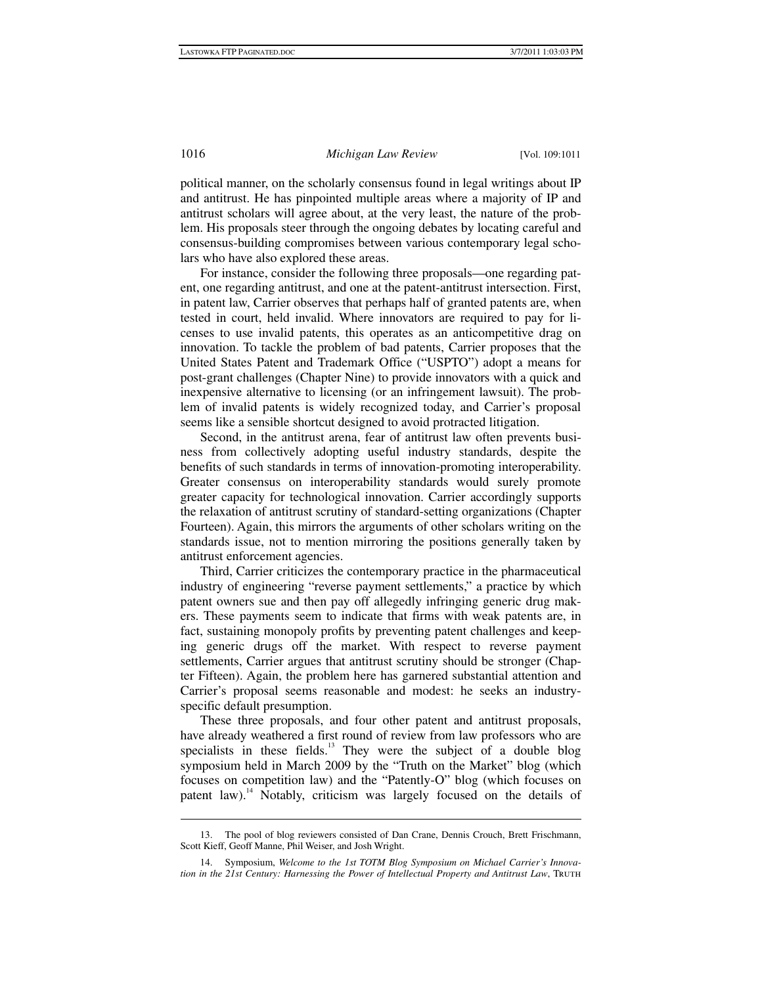political manner, on the scholarly consensus found in legal writings about IP and antitrust. He has pinpointed multiple areas where a majority of IP and antitrust scholars will agree about, at the very least, the nature of the problem. His proposals steer through the ongoing debates by locating careful and consensus-building compromises between various contemporary legal scholars who have also explored these areas.

For instance, consider the following three proposals—one regarding patent, one regarding antitrust, and one at the patent-antitrust intersection. First, in patent law, Carrier observes that perhaps half of granted patents are, when tested in court, held invalid. Where innovators are required to pay for licenses to use invalid patents, this operates as an anticompetitive drag on innovation. To tackle the problem of bad patents, Carrier proposes that the United States Patent and Trademark Office ("USPTO") adopt a means for post-grant challenges (Chapter Nine) to provide innovators with a quick and inexpensive alternative to licensing (or an infringement lawsuit). The problem of invalid patents is widely recognized today, and Carrier's proposal seems like a sensible shortcut designed to avoid protracted litigation.

Second, in the antitrust arena, fear of antitrust law often prevents business from collectively adopting useful industry standards, despite the benefits of such standards in terms of innovation-promoting interoperability. Greater consensus on interoperability standards would surely promote greater capacity for technological innovation. Carrier accordingly supports the relaxation of antitrust scrutiny of standard-setting organizations (Chapter Fourteen). Again, this mirrors the arguments of other scholars writing on the standards issue, not to mention mirroring the positions generally taken by antitrust enforcement agencies.

Third, Carrier criticizes the contemporary practice in the pharmaceutical industry of engineering "reverse payment settlements," a practice by which patent owners sue and then pay off allegedly infringing generic drug makers. These payments seem to indicate that firms with weak patents are, in fact, sustaining monopoly profits by preventing patent challenges and keeping generic drugs off the market. With respect to reverse payment settlements, Carrier argues that antitrust scrutiny should be stronger (Chapter Fifteen). Again, the problem here has garnered substantial attention and Carrier's proposal seems reasonable and modest: he seeks an industryspecific default presumption.

These three proposals, and four other patent and antitrust proposals, have already weathered a first round of review from law professors who are specialists in these fields. $13$  They were the subject of a double blog symposium held in March 2009 by the "Truth on the Market" blog (which focuses on competition law) and the "Patently-O" blog (which focuses on patent law).<sup>14</sup> Notably, criticism was largely focused on the details of

 <sup>13.</sup> The pool of blog reviewers consisted of Dan Crane, Dennis Crouch, Brett Frischmann, Scott Kieff, Geoff Manne, Phil Weiser, and Josh Wright.

 <sup>14.</sup> Symposium, *Welcome to the 1st TOTM Blog Symposium on Michael Carrier's Innovation in the 21st Century: Harnessing the Power of Intellectual Property and Antitrust Law*, TRUTH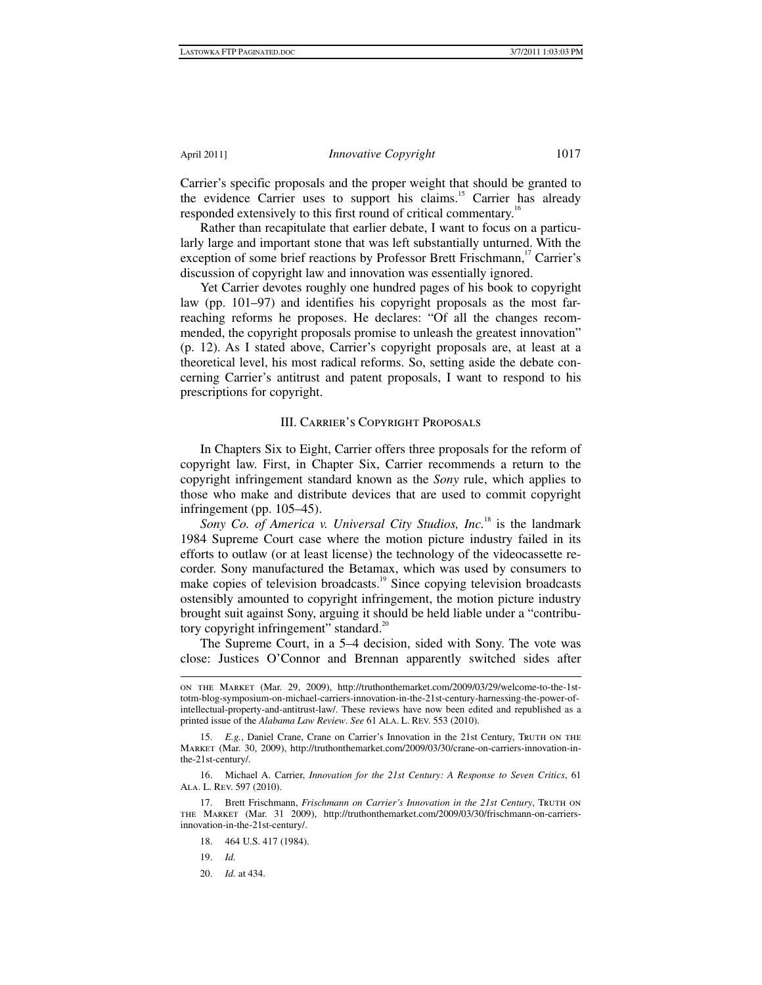Carrier's specific proposals and the proper weight that should be granted to the evidence Carrier uses to support his claims.<sup>15</sup> Carrier has already responded extensively to this first round of critical commentary.<sup>16</sup>

Rather than recapitulate that earlier debate, I want to focus on a particularly large and important stone that was left substantially unturned. With the exception of some brief reactions by Professor Brett Frischmann,<sup>17</sup> Carrier's discussion of copyright law and innovation was essentially ignored.

Yet Carrier devotes roughly one hundred pages of his book to copyright law (pp. 101–97) and identifies his copyright proposals as the most farreaching reforms he proposes. He declares: "Of all the changes recommended, the copyright proposals promise to unleash the greatest innovation" (p. 12). As I stated above, Carrier's copyright proposals are, at least at a theoretical level, his most radical reforms. So, setting aside the debate concerning Carrier's antitrust and patent proposals, I want to respond to his prescriptions for copyright.

#### III. Carrier's Copyright Proposals

In Chapters Six to Eight, Carrier offers three proposals for the reform of copyright law. First, in Chapter Six, Carrier recommends a return to the copyright infringement standard known as the *Sony* rule, which applies to those who make and distribute devices that are used to commit copyright infringement (pp. 105–45).

*Sony Co. of America v. Universal City Studios, Inc.*18 is the landmark 1984 Supreme Court case where the motion picture industry failed in its efforts to outlaw (or at least license) the technology of the videocassette recorder. Sony manufactured the Betamax, which was used by consumers to make copies of television broadcasts.<sup>19</sup> Since copying television broadcasts ostensibly amounted to copyright infringement, the motion picture industry brought suit against Sony, arguing it should be held liable under a "contributory copyright infringement" standard.<sup>20</sup>

The Supreme Court, in a 5–4 decision, sided with Sony. The vote was close: Justices O'Connor and Brennan apparently switched sides after

 on the Market (Mar. 29, 2009), http://truthonthemarket.com/2009/03/29/welcome-to-the-1sttotm-blog-symposium-on-michael-carriers-innovation-in-the-21st-century-harnessing-the-power-ofintellectual-property-and-antitrust-law/. These reviews have now been edited and republished as a printed issue of the *Alabama Law Review*. *See* 61 ALA. L. REV. 553 (2010).

<sup>15.</sup> *E.g.*, Daniel Crane, Crane on Carrier's Innovation in the 21st Century, Truth on the Market (Mar. 30, 2009), http://truthonthemarket.com/2009/03/30/crane-on-carriers-innovation-inthe-21st-century/.

 <sup>16.</sup> Michael A. Carrier, *Innovation for the 21st Century: A Response to Seven Critics*, 61 Ala. L. Rev. 597 (2010).

<sup>17.</sup> Brett Frischmann, *Frischmann on Carrier's Innovation in the 21st Century*, Truth on the Market (Mar. 31 2009), http://truthonthemarket.com/2009/03/30/frischmann-on-carriersinnovation-in-the-21st-century/.

 <sup>18. 464</sup> U.S. 417 (1984).

 <sup>19.</sup> *Id.*

 <sup>20.</sup> *Id.* at 434.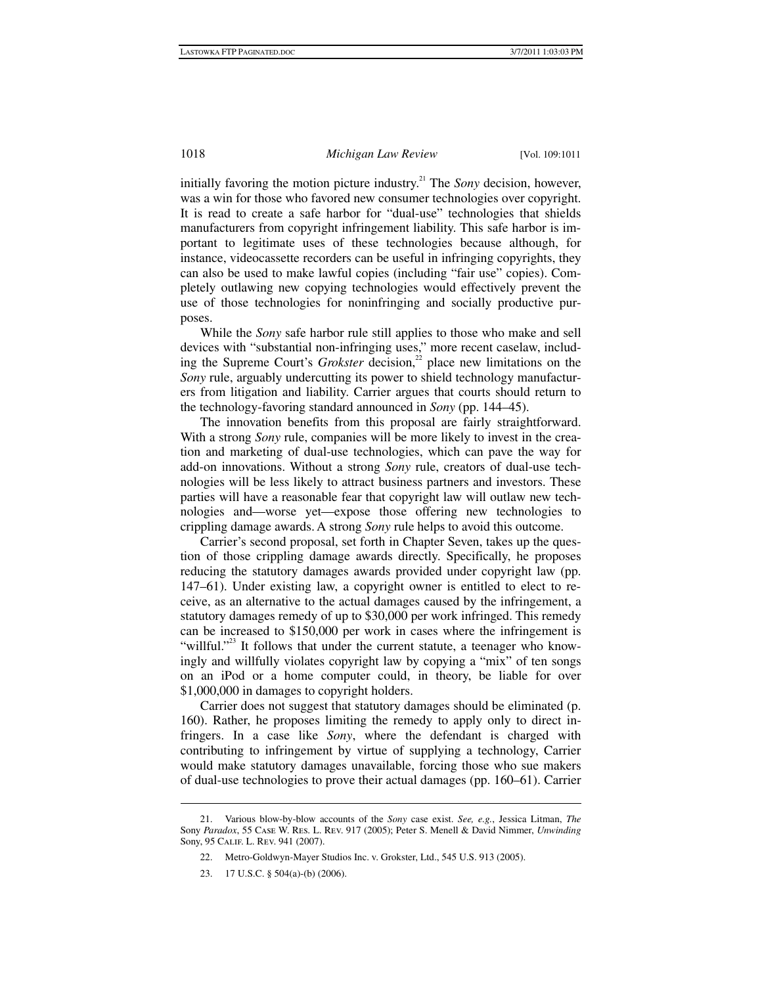initially favoring the motion picture industry.<sup>21</sup> The *Sony* decision, however, was a win for those who favored new consumer technologies over copyright. It is read to create a safe harbor for "dual-use" technologies that shields manufacturers from copyright infringement liability. This safe harbor is important to legitimate uses of these technologies because although, for instance, videocassette recorders can be useful in infringing copyrights, they can also be used to make lawful copies (including "fair use" copies). Completely outlawing new copying technologies would effectively prevent the use of those technologies for noninfringing and socially productive purposes.

While the *Sony* safe harbor rule still applies to those who make and sell devices with "substantial non-infringing uses," more recent caselaw, including the Supreme Court's *Grokster* decision,<sup>22</sup> place new limitations on the *Sony* rule, arguably undercutting its power to shield technology manufacturers from litigation and liability. Carrier argues that courts should return to the technology-favoring standard announced in *Sony* (pp. 144–45).

The innovation benefits from this proposal are fairly straightforward. With a strong *Sony* rule, companies will be more likely to invest in the creation and marketing of dual-use technologies, which can pave the way for add-on innovations. Without a strong *Sony* rule, creators of dual-use technologies will be less likely to attract business partners and investors. These parties will have a reasonable fear that copyright law will outlaw new technologies and—worse yet—expose those offering new technologies to crippling damage awards. A strong *Sony* rule helps to avoid this outcome.

Carrier's second proposal, set forth in Chapter Seven, takes up the question of those crippling damage awards directly. Specifically, he proposes reducing the statutory damages awards provided under copyright law (pp. 147–61). Under existing law, a copyright owner is entitled to elect to receive, as an alternative to the actual damages caused by the infringement, a statutory damages remedy of up to \$30,000 per work infringed. This remedy can be increased to \$150,000 per work in cases where the infringement is "willful."<sup>23</sup> It follows that under the current statute, a teenager who knowingly and willfully violates copyright law by copying a "mix" of ten songs on an iPod or a home computer could, in theory, be liable for over \$1,000,000 in damages to copyright holders.

Carrier does not suggest that statutory damages should be eliminated (p. 160). Rather, he proposes limiting the remedy to apply only to direct infringers. In a case like *Sony*, where the defendant is charged with contributing to infringement by virtue of supplying a technology, Carrier would make statutory damages unavailable, forcing those who sue makers of dual-use technologies to prove their actual damages (pp. 160–61). Carrier

 <sup>21.</sup> Various blow-by-blow accounts of the *Sony* case exist. *See, e.g.*, Jessica Litman, *The* Sony *Paradox*, 55 Case W. Res. L. Rev. 917 (2005); Peter S. Menell & David Nimmer, *Unwinding* Sony, 95 Calif. L. Rev. 941 (2007).

 <sup>22.</sup> Metro-Goldwyn-Mayer Studios Inc. v. Grokster, Ltd., 545 U.S. 913 (2005).

 <sup>23. 17</sup> U.S.C. § 504(a)-(b) (2006).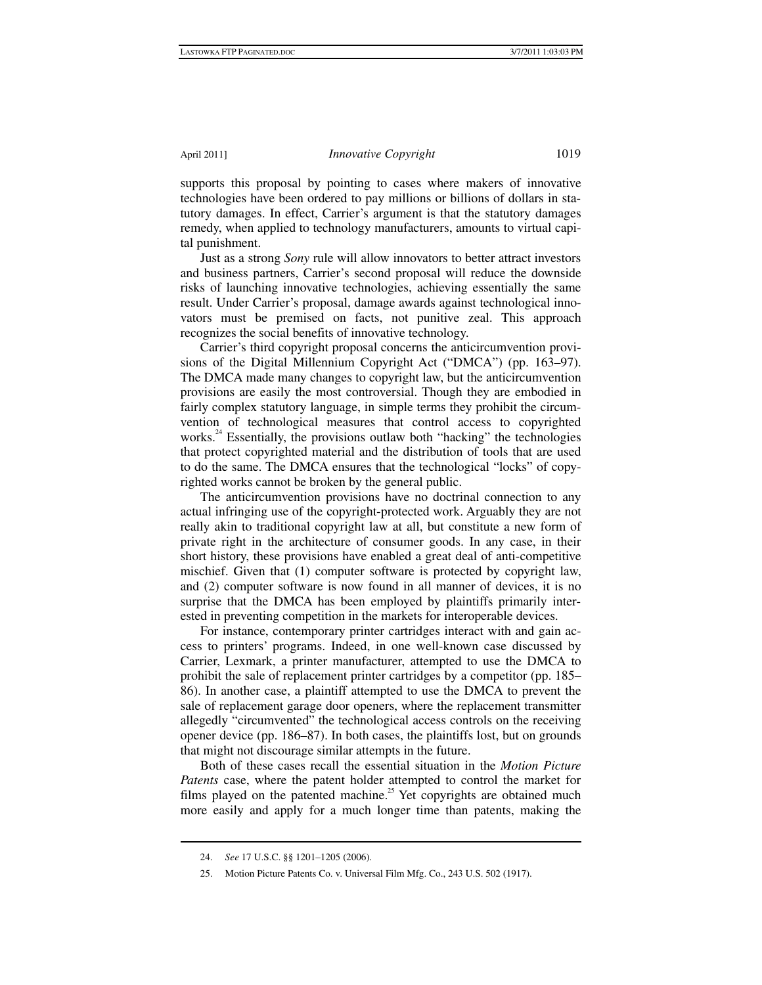supports this proposal by pointing to cases where makers of innovative technologies have been ordered to pay millions or billions of dollars in statutory damages. In effect, Carrier's argument is that the statutory damages remedy, when applied to technology manufacturers, amounts to virtual capital punishment.

Just as a strong *Sony* rule will allow innovators to better attract investors and business partners, Carrier's second proposal will reduce the downside risks of launching innovative technologies, achieving essentially the same result. Under Carrier's proposal, damage awards against technological innovators must be premised on facts, not punitive zeal. This approach recognizes the social benefits of innovative technology.

Carrier's third copyright proposal concerns the anticircumvention provisions of the Digital Millennium Copyright Act ("DMCA") (pp. 163–97). The DMCA made many changes to copyright law, but the anticircumvention provisions are easily the most controversial. Though they are embodied in fairly complex statutory language, in simple terms they prohibit the circumvention of technological measures that control access to copyrighted works.<sup>24</sup> Essentially, the provisions outlaw both "hacking" the technologies that protect copyrighted material and the distribution of tools that are used to do the same. The DMCA ensures that the technological "locks" of copyrighted works cannot be broken by the general public.

The anticircumvention provisions have no doctrinal connection to any actual infringing use of the copyright-protected work. Arguably they are not really akin to traditional copyright law at all, but constitute a new form of private right in the architecture of consumer goods. In any case, in their short history, these provisions have enabled a great deal of anti-competitive mischief. Given that (1) computer software is protected by copyright law, and (2) computer software is now found in all manner of devices, it is no surprise that the DMCA has been employed by plaintiffs primarily interested in preventing competition in the markets for interoperable devices.

For instance, contemporary printer cartridges interact with and gain access to printers' programs. Indeed, in one well-known case discussed by Carrier, Lexmark, a printer manufacturer, attempted to use the DMCA to prohibit the sale of replacement printer cartridges by a competitor (pp. 185– 86). In another case, a plaintiff attempted to use the DMCA to prevent the sale of replacement garage door openers, where the replacement transmitter allegedly "circumvented" the technological access controls on the receiving opener device (pp. 186–87). In both cases, the plaintiffs lost, but on grounds that might not discourage similar attempts in the future.

Both of these cases recall the essential situation in the *Motion Picture Patents* case, where the patent holder attempted to control the market for films played on the patented machine.<sup>25</sup> Yet copyrights are obtained much more easily and apply for a much longer time than patents, making the

 <sup>24.</sup> *See* 17 U.S.C. §§ 1201–1205 (2006).

 <sup>25.</sup> Motion Picture Patents Co. v. Universal Film Mfg. Co., 243 U.S. 502 (1917).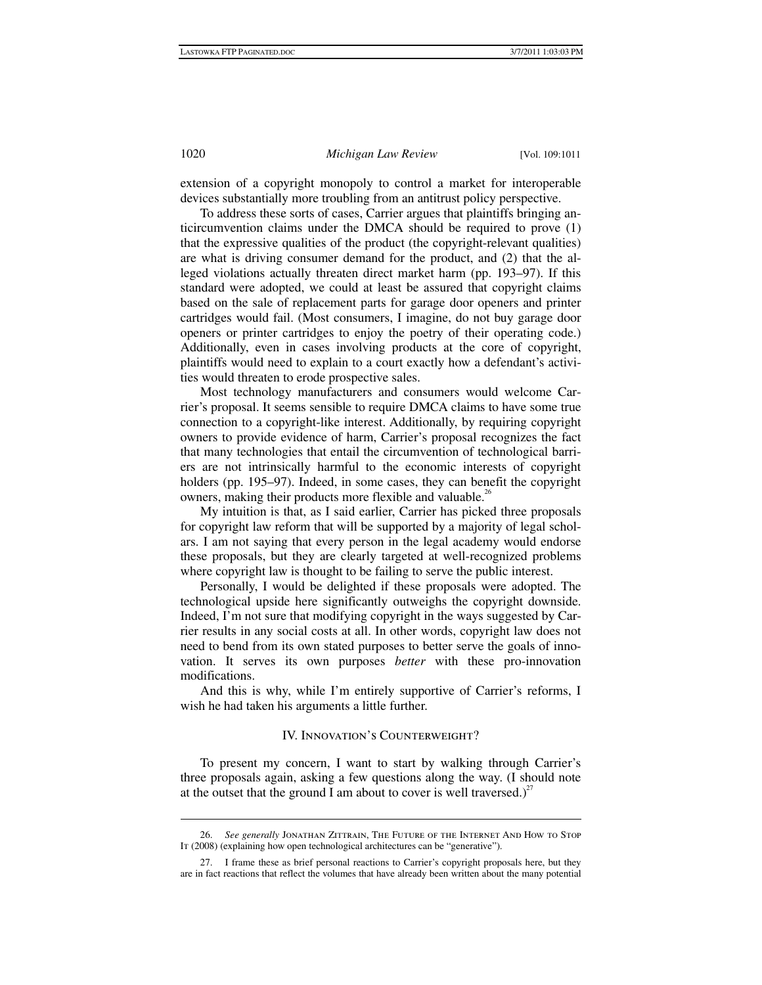extension of a copyright monopoly to control a market for interoperable devices substantially more troubling from an antitrust policy perspective.

To address these sorts of cases, Carrier argues that plaintiffs bringing anticircumvention claims under the DMCA should be required to prove (1) that the expressive qualities of the product (the copyright-relevant qualities) are what is driving consumer demand for the product, and (2) that the alleged violations actually threaten direct market harm (pp. 193–97). If this standard were adopted, we could at least be assured that copyright claims based on the sale of replacement parts for garage door openers and printer cartridges would fail. (Most consumers, I imagine, do not buy garage door openers or printer cartridges to enjoy the poetry of their operating code.) Additionally, even in cases involving products at the core of copyright, plaintiffs would need to explain to a court exactly how a defendant's activities would threaten to erode prospective sales.

Most technology manufacturers and consumers would welcome Carrier's proposal. It seems sensible to require DMCA claims to have some true connection to a copyright-like interest. Additionally, by requiring copyright owners to provide evidence of harm, Carrier's proposal recognizes the fact that many technologies that entail the circumvention of technological barriers are not intrinsically harmful to the economic interests of copyright holders (pp. 195–97). Indeed, in some cases, they can benefit the copyright owners, making their products more flexible and valuable.<sup>26</sup>

My intuition is that, as I said earlier, Carrier has picked three proposals for copyright law reform that will be supported by a majority of legal scholars. I am not saying that every person in the legal academy would endorse these proposals, but they are clearly targeted at well-recognized problems where copyright law is thought to be failing to serve the public interest.

Personally, I would be delighted if these proposals were adopted. The technological upside here significantly outweighs the copyright downside. Indeed, I'm not sure that modifying copyright in the ways suggested by Carrier results in any social costs at all. In other words, copyright law does not need to bend from its own stated purposes to better serve the goals of innovation. It serves its own purposes *better* with these pro-innovation modifications.

And this is why, while I'm entirely supportive of Carrier's reforms, I wish he had taken his arguments a little further.

## IV. Innovation's Counterweight?

To present my concern, I want to start by walking through Carrier's three proposals again, asking a few questions along the way. (I should note at the outset that the ground I am about to cover is well traversed.)<sup>27</sup>

 <sup>26.</sup> *See generally* Jonathan Zittrain, The Future of the Internet And How to Stop It (2008) (explaining how open technological architectures can be "generative").

 <sup>27.</sup> I frame these as brief personal reactions to Carrier's copyright proposals here, but they are in fact reactions that reflect the volumes that have already been written about the many potential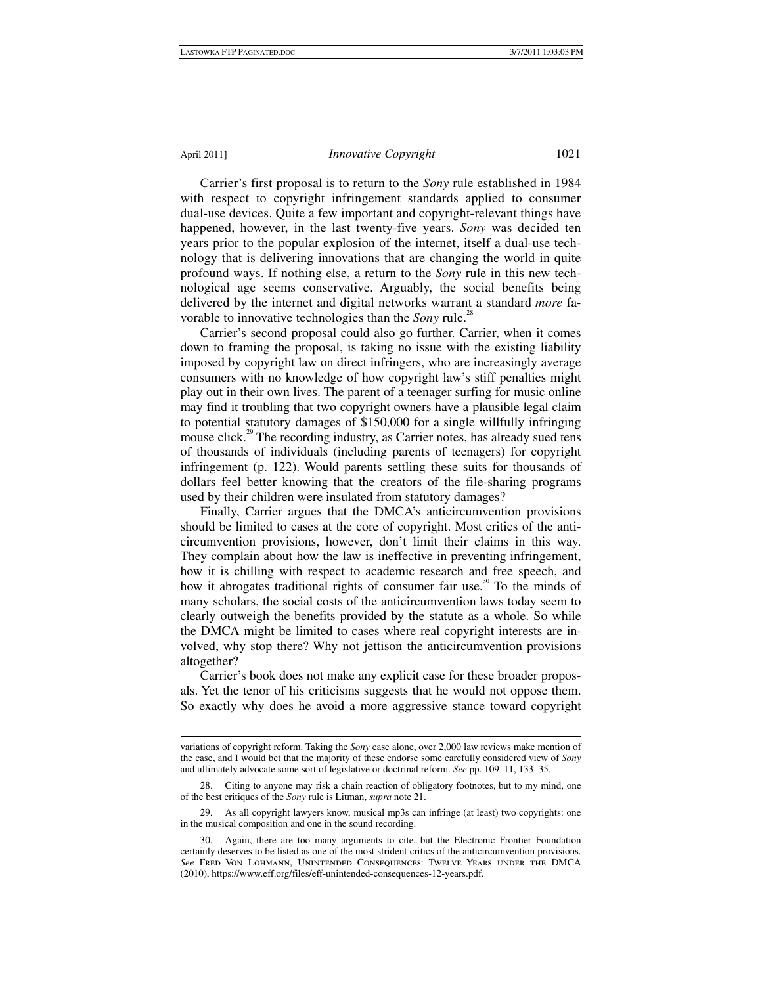Carrier's first proposal is to return to the *Sony* rule established in 1984 with respect to copyright infringement standards applied to consumer dual-use devices. Quite a few important and copyright-relevant things have happened, however, in the last twenty-five years. *Sony* was decided ten years prior to the popular explosion of the internet, itself a dual-use technology that is delivering innovations that are changing the world in quite profound ways. If nothing else, a return to the *Sony* rule in this new technological age seems conservative. Arguably, the social benefits being delivered by the internet and digital networks warrant a standard *more* favorable to innovative technologies than the *Sony* rule.<sup>28</sup>

Carrier's second proposal could also go further. Carrier, when it comes down to framing the proposal, is taking no issue with the existing liability imposed by copyright law on direct infringers, who are increasingly average consumers with no knowledge of how copyright law's stiff penalties might play out in their own lives. The parent of a teenager surfing for music online may find it troubling that two copyright owners have a plausible legal claim to potential statutory damages of \$150,000 for a single willfully infringing mouse click.<sup>29</sup> The recording industry, as Carrier notes, has already sued tens of thousands of individuals (including parents of teenagers) for copyright infringement (p. 122). Would parents settling these suits for thousands of dollars feel better knowing that the creators of the file-sharing programs used by their children were insulated from statutory damages?

Finally, Carrier argues that the DMCA's anticircumvention provisions should be limited to cases at the core of copyright. Most critics of the anticircumvention provisions, however, don't limit their claims in this way. They complain about how the law is ineffective in preventing infringement, how it is chilling with respect to academic research and free speech, and how it abrogates traditional rights of consumer fair use.<sup>30</sup> To the minds of many scholars, the social costs of the anticircumvention laws today seem to clearly outweigh the benefits provided by the statute as a whole. So while the DMCA might be limited to cases where real copyright interests are involved, why stop there? Why not jettison the anticircumvention provisions altogether?

Carrier's book does not make any explicit case for these broader proposals. Yet the tenor of his criticisms suggests that he would not oppose them. So exactly why does he avoid a more aggressive stance toward copyright

 variations of copyright reform. Taking the *Sony* case alone, over 2,000 law reviews make mention of the case, and I would bet that the majority of these endorse some carefully considered view of *Sony* and ultimately advocate some sort of legislative or doctrinal reform. *See* pp. 109–11, 133–35.

Citing to anyone may risk a chain reaction of obligatory footnotes, but to my mind, one of the best critiques of the *Sony* rule is Litman, *supra* note 21.

 <sup>29.</sup> As all copyright lawyers know, musical mp3s can infringe (at least) two copyrights: one in the musical composition and one in the sound recording.

 <sup>30.</sup> Again, there are too many arguments to cite, but the Electronic Frontier Foundation certainly deserves to be listed as one of the most strident critics of the anticircumvention provisions. *See* Fred Von Lohmann, Unintended Consequences: Twelve Years under the DMCA (2010), https://www.eff.org/files/eff-unintended-consequences-12-years.pdf.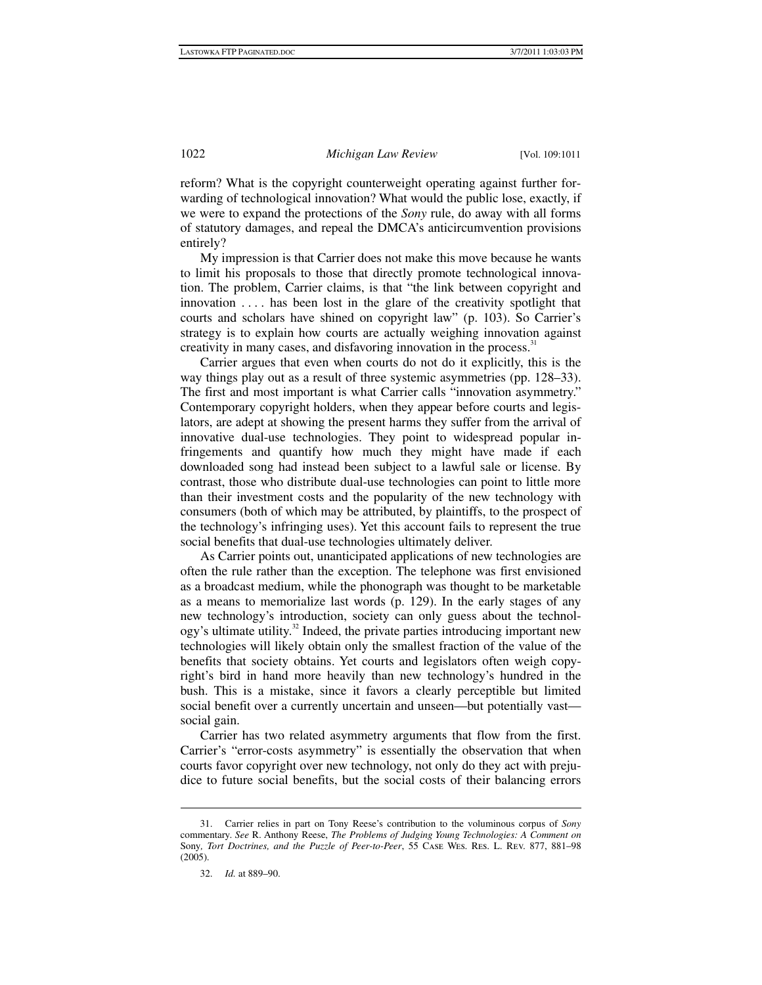reform? What is the copyright counterweight operating against further forwarding of technological innovation? What would the public lose, exactly, if we were to expand the protections of the *Sony* rule, do away with all forms of statutory damages, and repeal the DMCA's anticircumvention provisions entirely?

My impression is that Carrier does not make this move because he wants to limit his proposals to those that directly promote technological innovation. The problem, Carrier claims, is that "the link between copyright and innovation . . . . has been lost in the glare of the creativity spotlight that courts and scholars have shined on copyright law" (p. 103). So Carrier's strategy is to explain how courts are actually weighing innovation against creativity in many cases, and disfavoring innovation in the process.<sup>31</sup>

Carrier argues that even when courts do not do it explicitly, this is the way things play out as a result of three systemic asymmetries (pp. 128–33). The first and most important is what Carrier calls "innovation asymmetry." Contemporary copyright holders, when they appear before courts and legislators, are adept at showing the present harms they suffer from the arrival of innovative dual-use technologies. They point to widespread popular infringements and quantify how much they might have made if each downloaded song had instead been subject to a lawful sale or license. By contrast, those who distribute dual-use technologies can point to little more than their investment costs and the popularity of the new technology with consumers (both of which may be attributed, by plaintiffs, to the prospect of the technology's infringing uses). Yet this account fails to represent the true social benefits that dual-use technologies ultimately deliver.

As Carrier points out, unanticipated applications of new technologies are often the rule rather than the exception. The telephone was first envisioned as a broadcast medium, while the phonograph was thought to be marketable as a means to memorialize last words (p. 129). In the early stages of any new technology's introduction, society can only guess about the technol- $\log y$ 's ultimate utility.<sup>32</sup> Indeed, the private parties introducing important new technologies will likely obtain only the smallest fraction of the value of the benefits that society obtains. Yet courts and legislators often weigh copyright's bird in hand more heavily than new technology's hundred in the bush. This is a mistake, since it favors a clearly perceptible but limited social benefit over a currently uncertain and unseen—but potentially vast social gain.

Carrier has two related asymmetry arguments that flow from the first. Carrier's "error-costs asymmetry" is essentially the observation that when courts favor copyright over new technology, not only do they act with prejudice to future social benefits, but the social costs of their balancing errors

 <sup>31.</sup> Carrier relies in part on Tony Reese's contribution to the voluminous corpus of *Sony* commentary. *See* R. Anthony Reese, *The Problems of Judging Young Technologies: A Comment on*  Sony*, Tort Doctrines, and the Puzzle of Peer-to-Peer*, 55 Case Wes. Res. L. Rev. 877, 881–98 (2005).

 <sup>32.</sup> *Id.* at 889–90.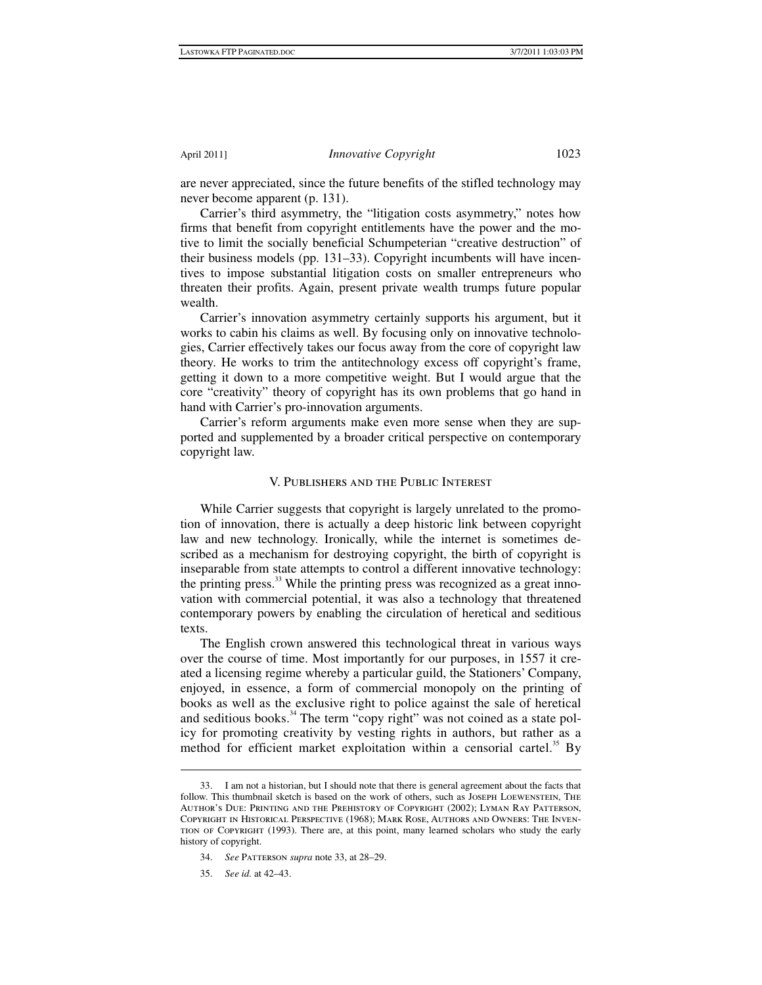are never appreciated, since the future benefits of the stifled technology may never become apparent (p. 131).

Carrier's third asymmetry, the "litigation costs asymmetry," notes how firms that benefit from copyright entitlements have the power and the motive to limit the socially beneficial Schumpeterian "creative destruction" of their business models (pp. 131–33). Copyright incumbents will have incentives to impose substantial litigation costs on smaller entrepreneurs who threaten their profits. Again, present private wealth trumps future popular wealth.

Carrier's innovation asymmetry certainly supports his argument, but it works to cabin his claims as well. By focusing only on innovative technologies, Carrier effectively takes our focus away from the core of copyright law theory. He works to trim the antitechnology excess off copyright's frame, getting it down to a more competitive weight. But I would argue that the core "creativity" theory of copyright has its own problems that go hand in hand with Carrier's pro-innovation arguments.

Carrier's reform arguments make even more sense when they are supported and supplemented by a broader critical perspective on contemporary copyright law.

## V. Publishers and the Public Interest

While Carrier suggests that copyright is largely unrelated to the promotion of innovation, there is actually a deep historic link between copyright law and new technology. Ironically, while the internet is sometimes described as a mechanism for destroying copyright, the birth of copyright is inseparable from state attempts to control a different innovative technology: the printing press.<sup>33</sup> While the printing press was recognized as a great innovation with commercial potential, it was also a technology that threatened contemporary powers by enabling the circulation of heretical and seditious texts.

The English crown answered this technological threat in various ways over the course of time. Most importantly for our purposes, in 1557 it created a licensing regime whereby a particular guild, the Stationers' Company, enjoyed, in essence, a form of commercial monopoly on the printing of books as well as the exclusive right to police against the sale of heretical and seditious books.<sup>34</sup> The term "copy right" was not coined as a state policy for promoting creativity by vesting rights in authors, but rather as a method for efficient market exploitation within a censorial cartel.<sup>35</sup> By

 <sup>33.</sup> I am not a historian, but I should note that there is general agreement about the facts that follow. This thumbnail sketch is based on the work of others, such as Joseph Loewenstein, The Author's Due: Printing and the Prehistory of Copyright (2002); Lyman Ray Patterson, Copyright in Historical Perspective (1968); Mark Rose, Authors and Owners: The Invention of Copyright (1993). There are, at this point, many learned scholars who study the early history of copyright.

 <sup>34.</sup> *See* Patterson *supra* note 33, at 28–29.

 <sup>35.</sup> *See id.* at 42–43.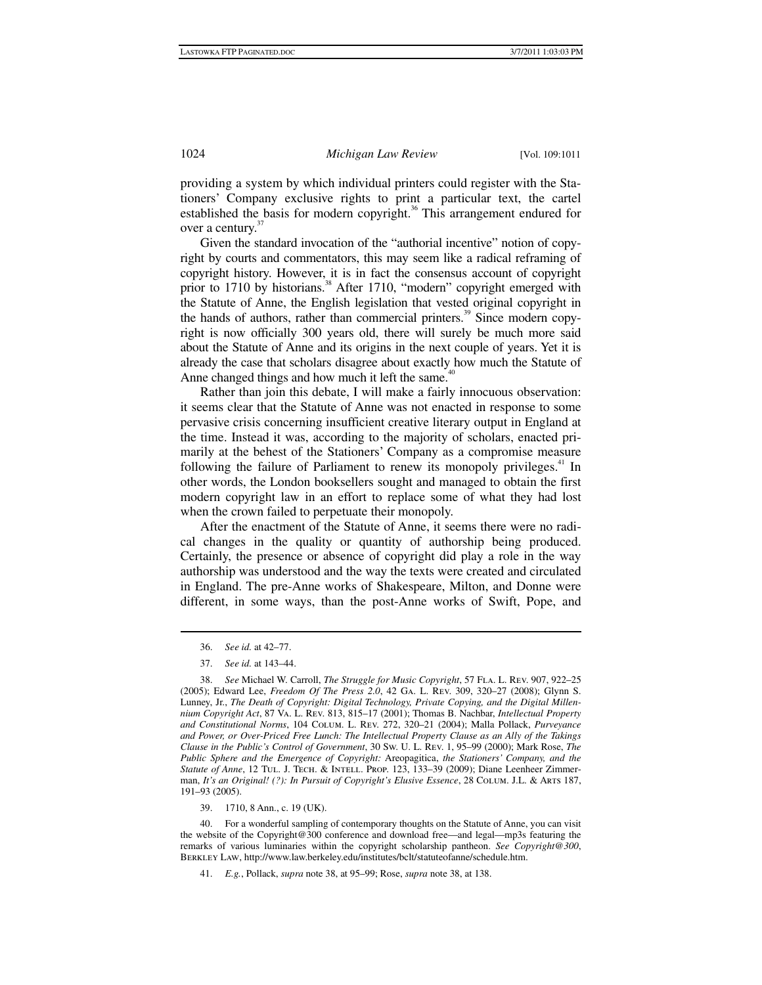providing a system by which individual printers could register with the Stationers' Company exclusive rights to print a particular text, the cartel established the basis for modern copyright.<sup>36</sup> This arrangement endured for over a century.<sup>37</sup>

Given the standard invocation of the "authorial incentive" notion of copyright by courts and commentators, this may seem like a radical reframing of copyright history. However, it is in fact the consensus account of copyright prior to 1710 by historians.<sup>38</sup> After 1710, "modern" copyright emerged with the Statute of Anne, the English legislation that vested original copyright in the hands of authors, rather than commercial printers.<sup>39</sup> Since modern copyright is now officially 300 years old, there will surely be much more said about the Statute of Anne and its origins in the next couple of years. Yet it is already the case that scholars disagree about exactly how much the Statute of Anne changed things and how much it left the same.<sup>40</sup>

Rather than join this debate, I will make a fairly innocuous observation: it seems clear that the Statute of Anne was not enacted in response to some pervasive crisis concerning insufficient creative literary output in England at the time. Instead it was, according to the majority of scholars, enacted primarily at the behest of the Stationers' Company as a compromise measure following the failure of Parliament to renew its monopoly privileges. $41$  In other words, the London booksellers sought and managed to obtain the first modern copyright law in an effort to replace some of what they had lost when the crown failed to perpetuate their monopoly.

After the enactment of the Statute of Anne, it seems there were no radical changes in the quality or quantity of authorship being produced. Certainly, the presence or absence of copyright did play a role in the way authorship was understood and the way the texts were created and circulated in England. The pre-Anne works of Shakespeare, Milton, and Donne were different, in some ways, than the post-Anne works of Swift, Pope, and

 <sup>36.</sup> *See id.* at 42–77.

 <sup>37.</sup> *See id.* at 143–44.

 <sup>38.</sup> *See* Michael W. Carroll, *The Struggle for Music Copyright*, 57 Fla. L. Rev. 907, 922–25 (2005); Edward Lee, *Freedom Of The Press 2.0*, 42 Ga. L. Rev. 309, 320–27 (2008); Glynn S. Lunney, Jr., *The Death of Copyright: Digital Technology, Private Copying, and the Digital Millennium Copyright Act*, 87 Va. L. Rev. 813, 815–17 (2001); Thomas B. Nachbar, *Intellectual Property and Constitutional Norms*, 104 Colum. L. Rev. 272, 320–21 (2004); Malla Pollack, *Purveyance and Power, or Over-Priced Free Lunch: The Intellectual Property Clause as an Ally of the Takings Clause in the Public's Control of Government*, 30 Sw. U. L. Rev. 1, 95–99 (2000); Mark Rose, *The Public Sphere and the Emergence of Copyright:* Areopagitica, *the Stationers' Company, and the Statute of Anne*, 12 Tul. J. Tech. & Intell. Prop. 123, 133–39 (2009); Diane Leenheer Zimmerman, *It's an Original! (?): In Pursuit of Copyright's Elusive Essence*, 28 Colum. J.L. & Arts 187, 191–93 (2005).

 <sup>39. 1710, 8</sup> Ann., c. 19 (UK).

 <sup>40.</sup> For a wonderful sampling of contemporary thoughts on the Statute of Anne, you can visit the website of the Copyright@300 conference and download free—and legal—mp3s featuring the remarks of various luminaries within the copyright scholarship pantheon. *See Copyright@300*, Berkley Law, http://www.law.berkeley.edu/institutes/bclt/statuteofanne/schedule.htm.

 <sup>41.</sup> *E.g.*, Pollack, *supra* note 38, at 95–99; Rose, *supra* note 38, at 138.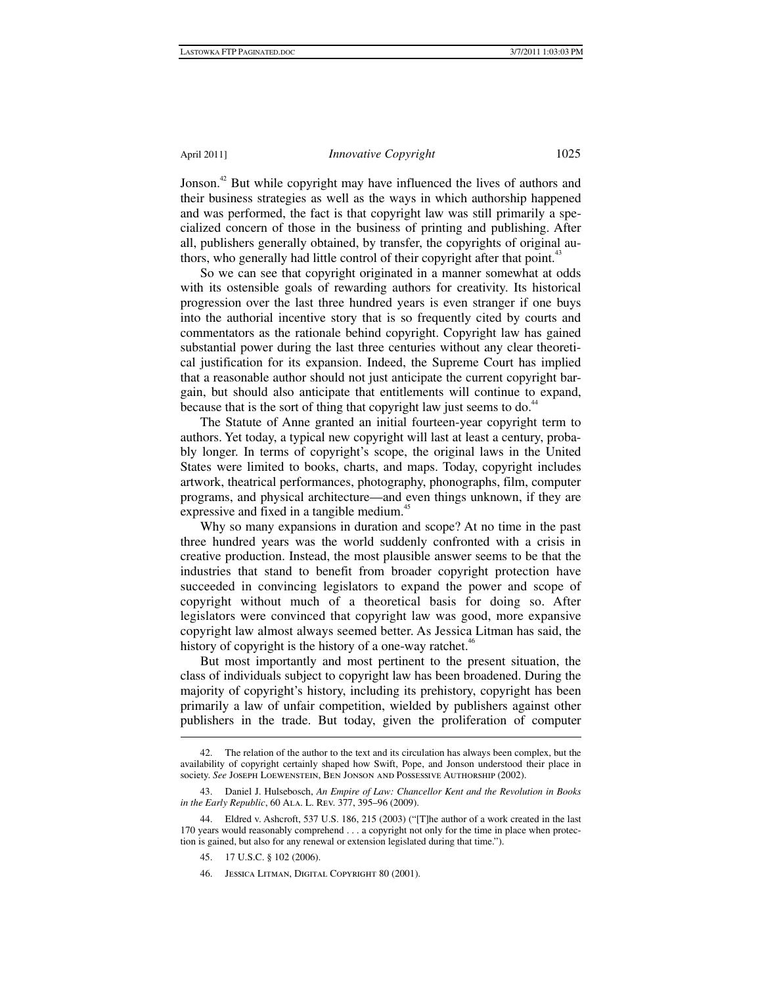Jonson.<sup>42</sup> But while copyright may have influenced the lives of authors and their business strategies as well as the ways in which authorship happened and was performed, the fact is that copyright law was still primarily a specialized concern of those in the business of printing and publishing. After all, publishers generally obtained, by transfer, the copyrights of original authors, who generally had little control of their copyright after that point.<sup>43</sup>

So we can see that copyright originated in a manner somewhat at odds with its ostensible goals of rewarding authors for creativity. Its historical progression over the last three hundred years is even stranger if one buys into the authorial incentive story that is so frequently cited by courts and commentators as the rationale behind copyright. Copyright law has gained substantial power during the last three centuries without any clear theoretical justification for its expansion. Indeed, the Supreme Court has implied that a reasonable author should not just anticipate the current copyright bargain, but should also anticipate that entitlements will continue to expand, because that is the sort of thing that copyright law just seems to do.<sup>44</sup>

The Statute of Anne granted an initial fourteen-year copyright term to authors. Yet today, a typical new copyright will last at least a century, probably longer. In terms of copyright's scope, the original laws in the United States were limited to books, charts, and maps. Today, copyright includes artwork, theatrical performances, photography, phonographs, film, computer programs, and physical architecture—and even things unknown, if they are expressive and fixed in a tangible medium.<sup>45</sup>

Why so many expansions in duration and scope? At no time in the past three hundred years was the world suddenly confronted with a crisis in creative production. Instead, the most plausible answer seems to be that the industries that stand to benefit from broader copyright protection have succeeded in convincing legislators to expand the power and scope of copyright without much of a theoretical basis for doing so. After legislators were convinced that copyright law was good, more expansive copyright law almost always seemed better. As Jessica Litman has said, the history of copyright is the history of a one-way ratchet.<sup>46</sup>

But most importantly and most pertinent to the present situation, the class of individuals subject to copyright law has been broadened. During the majority of copyright's history, including its prehistory, copyright has been primarily a law of unfair competition, wielded by publishers against other publishers in the trade. But today, given the proliferation of computer

 <sup>42.</sup> The relation of the author to the text and its circulation has always been complex, but the availability of copyright certainly shaped how Swift, Pope, and Jonson understood their place in society. *See* Joseph Loewenstein, Ben Jonson and Possessive Authorship (2002).

 <sup>43.</sup> Daniel J. Hulsebosch, *An Empire of Law: Chancellor Kent and the Revolution in Books in the Early Republic*, 60 Ala. L. Rev. 377, 395–96 (2009).

 <sup>44.</sup> Eldred v. Ashcroft, 537 U.S. 186, 215 (2003) ("[T]he author of a work created in the last 170 years would reasonably comprehend . . . a copyright not only for the time in place when protection is gained, but also for any renewal or extension legislated during that time.").

 <sup>45. 17</sup> U.S.C. § 102 (2006).

 <sup>46.</sup> Jessica Litman, Digital Copyright 80 (2001).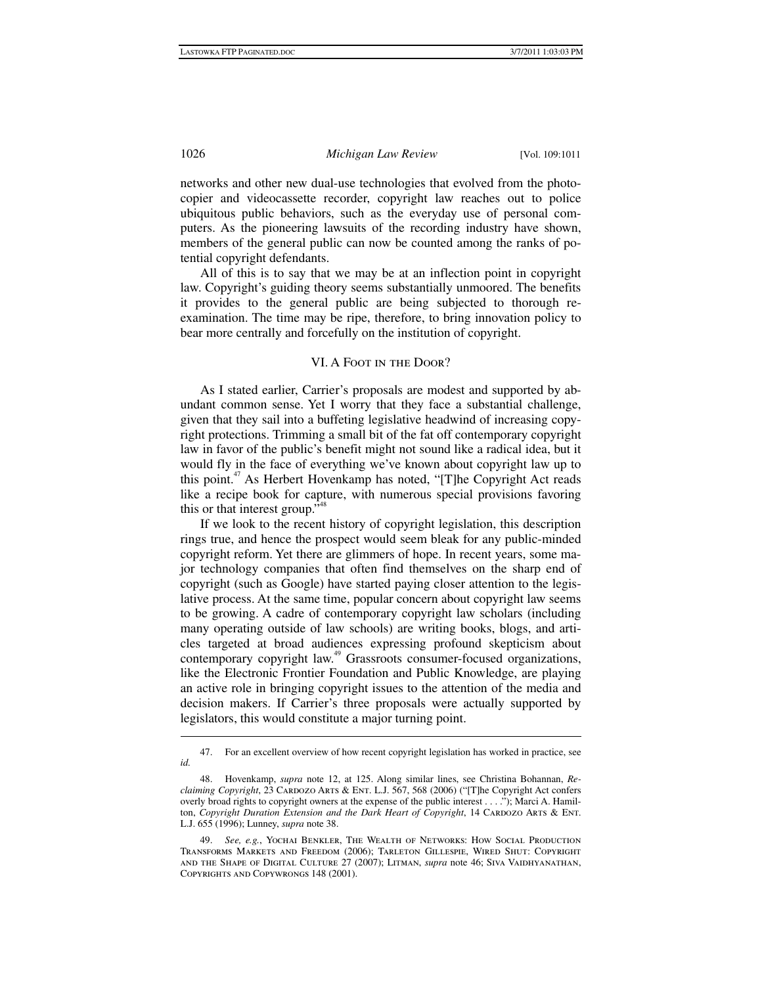networks and other new dual-use technologies that evolved from the photocopier and videocassette recorder, copyright law reaches out to police ubiquitous public behaviors, such as the everyday use of personal computers. As the pioneering lawsuits of the recording industry have shown, members of the general public can now be counted among the ranks of potential copyright defendants.

All of this is to say that we may be at an inflection point in copyright law. Copyright's guiding theory seems substantially unmoored. The benefits it provides to the general public are being subjected to thorough reexamination. The time may be ripe, therefore, to bring innovation policy to bear more centrally and forcefully on the institution of copyright.

### VI. A Foot in the Door?

As I stated earlier, Carrier's proposals are modest and supported by abundant common sense. Yet I worry that they face a substantial challenge, given that they sail into a buffeting legislative headwind of increasing copyright protections. Trimming a small bit of the fat off contemporary copyright law in favor of the public's benefit might not sound like a radical idea, but it would fly in the face of everything we've known about copyright law up to this point.47 As Herbert Hovenkamp has noted, "[T]he Copyright Act reads like a recipe book for capture, with numerous special provisions favoring this or that interest group.<sup>748</sup>

If we look to the recent history of copyright legislation, this description rings true, and hence the prospect would seem bleak for any public-minded copyright reform. Yet there are glimmers of hope. In recent years, some major technology companies that often find themselves on the sharp end of copyright (such as Google) have started paying closer attention to the legislative process. At the same time, popular concern about copyright law seems to be growing. A cadre of contemporary copyright law scholars (including many operating outside of law schools) are writing books, blogs, and articles targeted at broad audiences expressing profound skepticism about contemporary copyright law.<sup>49</sup> Grassroots consumer-focused organizations, like the Electronic Frontier Foundation and Public Knowledge, are playing an active role in bringing copyright issues to the attention of the media and decision makers. If Carrier's three proposals were actually supported by legislators, this would constitute a major turning point.

 <sup>47.</sup> For an excellent overview of how recent copyright legislation has worked in practice, see *id.*

 <sup>48.</sup> Hovenkamp, *supra* note 12, at 125. Along similar lines, see Christina Bohannan, *Reclaiming Copyright*, 23 CARDOZO ARTS & ENT. L.J. 567, 568 (2006) ("[T]he Copyright Act confers overly broad rights to copyright owners at the expense of the public interest . . . ."); Marci A. Hamilton, *Copyright Duration Extension and the Dark Heart of Copyright*, 14 CARDOZO ARTS & ENT. L.J. 655 (1996); Lunney, *supra* note 38.

 <sup>49.</sup> *See, e.g.*, Yochai Benkler, The Wealth of Networks: How Social Production Transforms Markets and Freedom (2006); Tarleton Gillespie, Wired Shut: Copyright and the Shape of Digital Culture 27 (2007); Litman, *supra* note 46; Siva Vaidhyanathan, Copyrights and Copywrongs 148 (2001).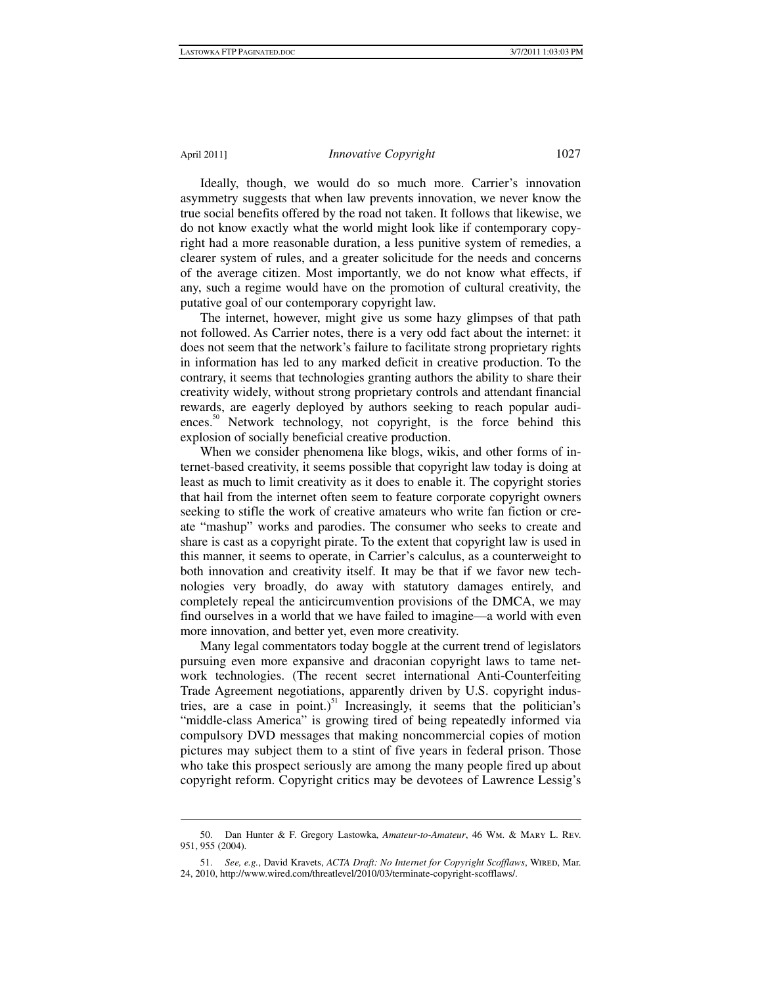1

Ideally, though, we would do so much more. Carrier's innovation asymmetry suggests that when law prevents innovation, we never know the true social benefits offered by the road not taken. It follows that likewise, we do not know exactly what the world might look like if contemporary copyright had a more reasonable duration, a less punitive system of remedies, a clearer system of rules, and a greater solicitude for the needs and concerns of the average citizen. Most importantly, we do not know what effects, if any, such a regime would have on the promotion of cultural creativity, the putative goal of our contemporary copyright law.

The internet, however, might give us some hazy glimpses of that path not followed. As Carrier notes, there is a very odd fact about the internet: it does not seem that the network's failure to facilitate strong proprietary rights in information has led to any marked deficit in creative production. To the contrary, it seems that technologies granting authors the ability to share their creativity widely, without strong proprietary controls and attendant financial rewards, are eagerly deployed by authors seeking to reach popular audiences.<sup>50</sup> Network technology, not copyright, is the force behind this explosion of socially beneficial creative production.

When we consider phenomena like blogs, wikis, and other forms of internet-based creativity, it seems possible that copyright law today is doing at least as much to limit creativity as it does to enable it. The copyright stories that hail from the internet often seem to feature corporate copyright owners seeking to stifle the work of creative amateurs who write fan fiction or create "mashup" works and parodies. The consumer who seeks to create and share is cast as a copyright pirate. To the extent that copyright law is used in this manner, it seems to operate, in Carrier's calculus, as a counterweight to both innovation and creativity itself. It may be that if we favor new technologies very broadly, do away with statutory damages entirely, and completely repeal the anticircumvention provisions of the DMCA, we may find ourselves in a world that we have failed to imagine—a world with even more innovation, and better yet, even more creativity.

Many legal commentators today boggle at the current trend of legislators pursuing even more expansive and draconian copyright laws to tame network technologies. (The recent secret international Anti-Counterfeiting Trade Agreement negotiations, apparently driven by U.S. copyright industries, are a case in point.)<sup>51</sup> Increasingly, it seems that the politician's "middle-class America" is growing tired of being repeatedly informed via compulsory DVD messages that making noncommercial copies of motion pictures may subject them to a stint of five years in federal prison. Those who take this prospect seriously are among the many people fired up about copyright reform. Copyright critics may be devotees of Lawrence Lessig's

 <sup>50.</sup> Dan Hunter & F. Gregory Lastowka, *Amateur-to-Amateur*, 46 Wm. & Mary L. Rev. 951, 955 (2004).

 <sup>51.</sup> *See, e.g.*, David Kravets, *ACTA Draft: No Internet for Copyright Scofflaws*, Wired, Mar. 24, 2010, http://www.wired.com/threatlevel/2010/03/terminate-copyright-scofflaws/.